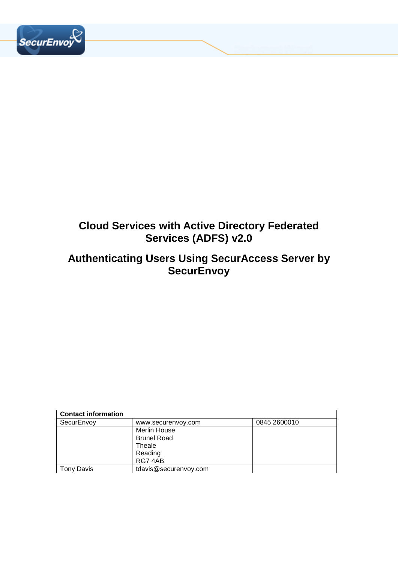

# **Cloud Services with Active Directory Federated Services (ADFS) v2.0**

# **Authenticating Users Using SecurAccess Server by SecurEnvoy**

| <b>Contact information</b> |                       |              |  |
|----------------------------|-----------------------|--------------|--|
| SecurEnvoy                 | www.securenvoy.com    | 0845 2600010 |  |
|                            | Merlin House          |              |  |
|                            | <b>Brunel Road</b>    |              |  |
|                            | Theale                |              |  |
| Reading                    |                       |              |  |
|                            | RG74AB                |              |  |
| Tonv Davis                 | tdavis@securenvoy.com |              |  |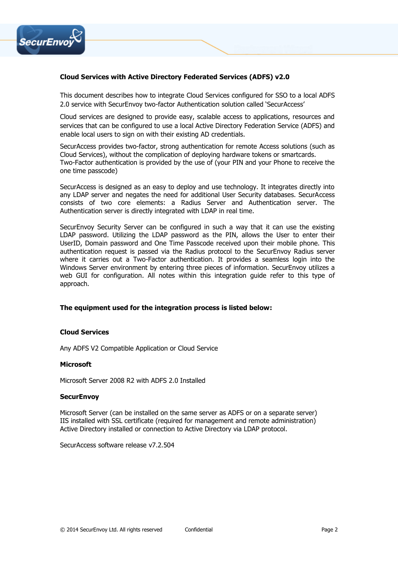

### **Cloud Services with Active Directory Federated Services (ADFS) v2.0**

This document describes how to integrate Cloud Services configured for SSO to a local ADFS 2.0 service with SecurEnvoy two-factor Authentication solution called 'SecurAccess'

Cloud services are designed to provide easy, scalable access to applications, resources and services that can be configured to use a local Active Directory Federation Service (ADFS) and enable local users to sign on with their existing AD credentials.

SecurAccess provides two-factor, strong authentication for remote Access solutions (such as Cloud Services), without the complication of deploying hardware tokens or smartcards. Two-Factor authentication is provided by the use of (your PIN and your Phone to receive the one time passcode)

SecurAccess is designed as an easy to deploy and use technology. It integrates directly into any LDAP server and negates the need for additional User Security databases. SecurAccess consists of two core elements: a Radius Server and Authentication server. The Authentication server is directly integrated with LDAP in real time.

SecurEnvoy Security Server can be configured in such a way that it can use the existing LDAP password. Utilizing the LDAP password as the PIN, allows the User to enter their UserID, Domain password and One Time Passcode received upon their mobile phone. This authentication request is passed via the Radius protocol to the SecurEnvoy Radius server where it carries out a Two-Factor authentication. It provides a seamless login into the Windows Server environment by entering three pieces of information. SecurEnvoy utilizes a web GUI for configuration. All notes within this integration guide refer to this type of approach.

### **The equipment used for the integration process is listed below:**

#### **Cloud Services**

Any ADFS V2 Compatible Application or Cloud Service

### **Microsoft**

Microsoft Server 2008 R2 with ADFS 2.0 Installed

#### **SecurEnvoy**

Microsoft Server (can be installed on the same server as ADFS or on a separate server) IIS installed with SSL certificate (required for management and remote administration) Active Directory installed or connection to Active Directory via LDAP protocol.

SecurAccess software release v7.2.504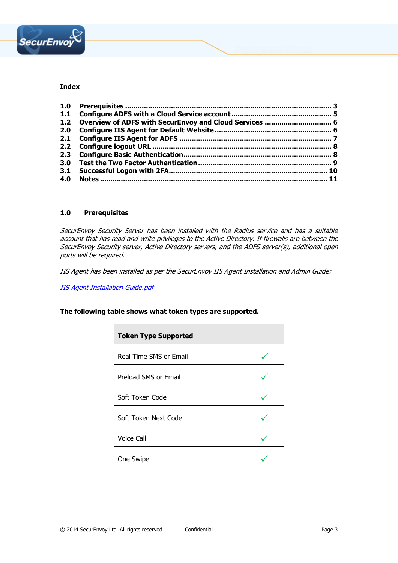

### **Index**

### **1.0 Prerequisites**

SecurEnvoy Security Server has been installed with the Radius service and has a suitable account that has read and write privileges to the Active Directory. If firewalls are between the SecurEnvoy Security server, Active Directory servers, and the ADFS server(s), additional open ports will be required.

IIS Agent has been installed as per the SecurEnvoy IIS Agent Installation and Admin Guide:

**[IIS Agent Installation Guide.pdf](https://www.securenvoy.com/integrationguides/iis%20agent%20installation%20guide.pdf)** 

**The following table shows what token types are supported.**

| <b>Token Type Supported</b> |  |
|-----------------------------|--|
| Real Time SMS or Email      |  |
| Preload SMS or Email        |  |
| Soft Token Code             |  |
| Soft Token Next Code        |  |
| <b>Voice Call</b>           |  |
| One Swipe                   |  |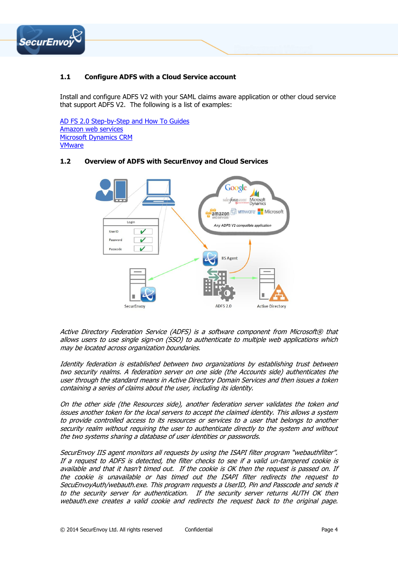

# **1.1 Configure ADFS with a Cloud Service account**

Install and configure ADFS V2 with your SAML claims aware application or other cloud service that support ADFS V2. The following is a list of examples:

[AD FS 2.0 Step-by-Step and How To Guides](http://technet.microsoft.com/en-us/library/dd727938(WS.10).aspx) [Amazon web services](http://blogs.aws.amazon.com/security/post/Tx71TWXXJ3UI14/Enabling-Federation-to-AWS-using-Windows-Active-Directory-ADFS-and-SAML-2-0) [Microsoft Dynamics CRM](http://blogs.msdn.com/b/niran_belliappa/archive/2014/01/16/step-by-step-configuring-crm-2013-internet-facing-deployment-ifd.aspx) **[VMware](http://pubs.vmware.com/application-manager-administrator-host-15/index.jsp?topic=%2Fcom.vmware.administrator.doc_host_15%2FGUID-83BE85A2-8A7A-45B2-9A44-336643BCA334.html)** 

# **1.2 Overview of ADFS with SecurEnvoy and Cloud Services**



Active Directory Federation Service (ADFS) is a software component from Microsoft® that allows users to use single sign-on (SSO) to authenticate to multiple web applications which may be located across organization boundaries.

Identity federation is established between two organizations by establishing trust between two security realms. A federation server on one side (the Accounts side) authenticates the user through the standard means in Active Directory Domain Services and then issues a token containing a series of claims about the user, including its identity.

On the other side (the Resources side), another federation server validates the token and issues another token for the local servers to accept the claimed identity. This allows a system to provide controlled access to its resources or services to a user that belongs to another security realm without requiring the user to authenticate directly to the system and without the two systems sharing a database of user identities or passwords.

SecurEnvoy IIS agent monitors all requests by using the ISAPI filter program "webauthfilter". If a request to ADFS is detected, the filter checks to see if a valid un-tampered cookie is available and that it hasn't timed out. If the cookie is OK then the request is passed on. If the cookie is unavailable or has timed out the ISAPI filter redirects the request to SecuEnvoyAuth/webauth.exe. This program requests a UserID, Pin and Passcode and sends it to the security server for authentication. If the security server returns AUTH OK then webauth.exe creates a valid cookie and redirects the request back to the original page.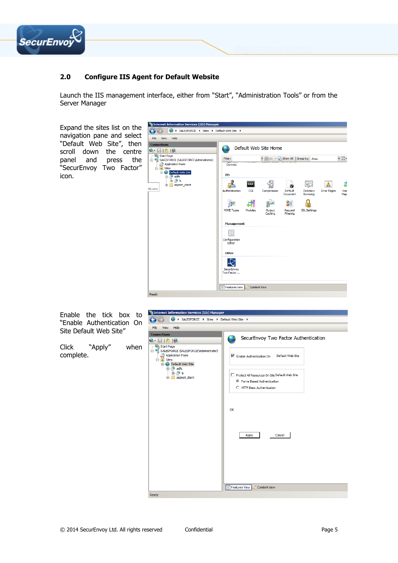

# **2.0 Configure IIS Agent for Default Website**

Launch the IIS management interface, either from "Start", "Administration Tools" or from the Server Manager

Expand the sites list on the navigation pane and select "Default Web Site", then scroll down the centre panel and press the "SecurEnvoy Two Factor" icon.



Enable the tick box to "Enable Authentication On Site Default Web Site"

Click "Apply" when complete.

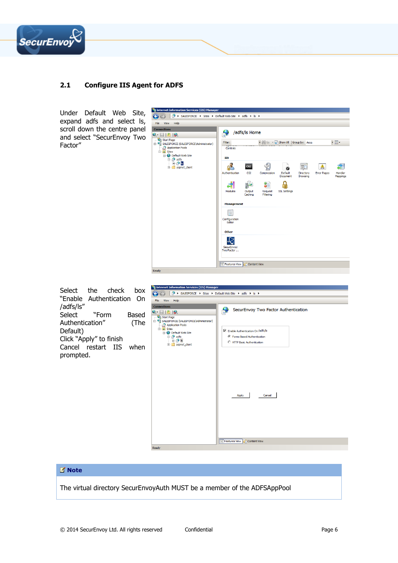

# **2.1 Configure IIS Agent for ADFS**

Under Default Web Site, expand adfs and select ls, scroll down the centre panel and select "SecurEnvoy Two Factor"





Ready

### **Note**

The virtual directory SecurEnvoyAuth MUST be a member of the ADFSAppPool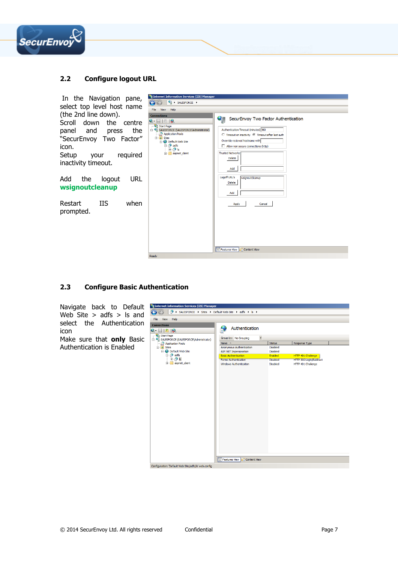

## **2.2 Configure logout URL**

| In the Navigation pane,                                                                                                                                    | Internet Information Services (IIS) Manager                                                                                                                                                                                                                                    |                                                                                                                                                                                                             |
|------------------------------------------------------------------------------------------------------------------------------------------------------------|--------------------------------------------------------------------------------------------------------------------------------------------------------------------------------------------------------------------------------------------------------------------------------|-------------------------------------------------------------------------------------------------------------------------------------------------------------------------------------------------------------|
| select top level host name                                                                                                                                 | $\begin{array}{c} \bigcirc \vdash \end{array}$ > SALESFORCE ><br>$\Theta$ $\Theta$                                                                                                                                                                                             |                                                                                                                                                                                                             |
|                                                                                                                                                            | View<br>Help<br>File                                                                                                                                                                                                                                                           |                                                                                                                                                                                                             |
| (the 2nd line down).<br>Scroll down the centre<br>panel and press the<br>"SecurEnvoy Two Factor"<br>icon.<br>Setup<br>your required<br>inactivity timeout. | <b>Connections</b><br>JI<br>$Q -   $ $  $ $  $ $  $<br>Start Page<br>E SALESFORCE (SALESFORCE\Administrator)<br>Application Pools<br>$\Box$ o Sites<br><b>E</b> Default Web Site<br><b>E</b> adfs<br><b>E</b> P Is<br>aspnet_dient<br><b>Trusted Networks</b><br><b>Delete</b> | SecurEnvoy Two Factor Authentication<br>Authentication Timeout (minutes) 360<br>○ Timeout on inactivity ⊙ Timeout after last auth<br>Override recieved hostname with<br>Allow non secure connections (http) |
| URL<br>Add<br>the<br>logout                                                                                                                                | Add<br>Logoff URL's<br>Delete                                                                                                                                                                                                                                                  | wsignoutcleanup                                                                                                                                                                                             |
| wsignoutcleanup                                                                                                                                            | Add                                                                                                                                                                                                                                                                            |                                                                                                                                                                                                             |
| Restart<br><b>IIS</b><br>when<br>prompted.                                                                                                                 | Apply                                                                                                                                                                                                                                                                          | Cancel                                                                                                                                                                                                      |
|                                                                                                                                                            | Features View   Content View                                                                                                                                                                                                                                                   |                                                                                                                                                                                                             |
|                                                                                                                                                            | Ready                                                                                                                                                                                                                                                                          |                                                                                                                                                                                                             |

### **2.3 Configure Basic Authentication**

Navigate back to Default Web Site  $>$  adfs  $>$  ls and select the Authentication icon

Make sure that **only** Basic Authentication is Enabled

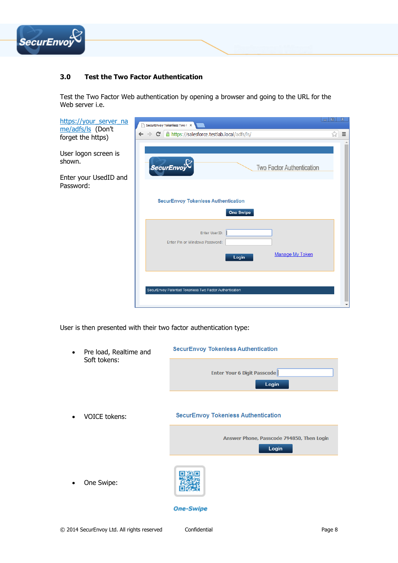

# **3.0 Test the Two Factor Authentication**

Test the Two Factor Web authentication by opening a browser and going to the URL for the Web server i.e.

| https://your_server_na<br>me/adfs/ls (Don't | SecurEnvoy Tokenless Two F X                                       | -10<br>$\mathbf{x}$ |
|---------------------------------------------|--------------------------------------------------------------------|---------------------|
| forget the https)                           | ← → C   A https://salesforce.testlab.local/adfs/ls/                | ☆<br>$\equiv$       |
| User logon screen is<br>shown.              | <b>SecurEnvoy</b><br>Two Factor Authentication                     |                     |
| Enter your UsedID and<br>Password:          |                                                                    |                     |
|                                             | <b>SecurEnvoy Tokenless Authentication</b>                         |                     |
|                                             | <b>One Swipe</b>                                                   |                     |
|                                             | Enter UserID:<br>Enter Pin or Windows Password:<br>Manage My Token |                     |
|                                             | Login                                                              |                     |
|                                             |                                                                    |                     |
|                                             | SecurEnvoy Patented Tokenless Two Factor Authentication            |                     |
|                                             |                                                                    |                     |

User is then presented with their two factor authentication type:

| Pre load, Realtime and | <b>SecurEnvoy Tokenless Authentication</b>         |
|------------------------|----------------------------------------------------|
| Soft tokens:           | <b>Enter Your 6 Digit Passcode</b><br>Login        |
| <b>VOICE tokens:</b>   | <b>SecurEnvoy Tokenless Authentication</b>         |
|                        | Answer Phone, Passcode 794850, Then Login<br>Login |
| One Swipe:             |                                                    |
|                        | <b>One-Swipe</b>                                   |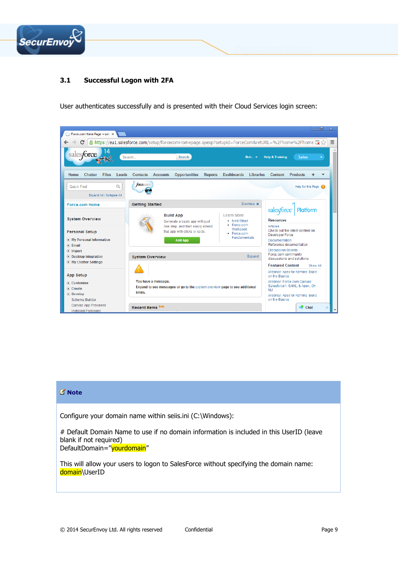

# **3.1 Successful Logon with 2FA**

User authenticates successfully and is presented with their Cloud Services login screen:



## **Note**

Configure your domain name within seiis.ini (C:\Windows):

# Default Domain Name to use if no domain information is included in this UserID (leave blank if not required) DefaultDomain="yourdomain"

This will allow your users to logon to SalesForce without specifying the domain name: domain\UserID